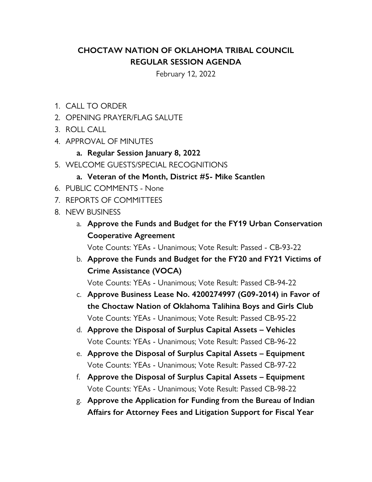## **CHOCTAW NATION OF OKLAHOMA TRIBAL COUNCIL REGULAR SESSION AGENDA**

February 12, 2022

- 1. CALL TO ORDER
- 2. OPENING PRAYER/FLAG SALUTE
- 3. ROLL CALL
- 4. APPROVAL OF MINUTES
	- **a. Regular Session January 8, 2022**
- 5. WELCOME GUESTS/SPECIAL RECOGNITIONS
	- **a. Veteran of the Month, District #5- Mike Scantlen**
- 6. PUBLIC COMMENTS None
- 7. REPORTS OF COMMITTEES
- 8. NEW BUSINESS
	- a. **Approve the Funds and Budget for the FY19 Urban Conservation Cooperative Agreement**

Vote Counts: YEAs - Unanimous; Vote Result: Passed - CB-93-22

b. **Approve the Funds and Budget for the FY20 and FY21 Victims of Crime Assistance (VOCA)**

Vote Counts: YEAs - Unanimous; Vote Result: Passed CB-94-22

- c. **Approve Business Lease No. 4200274997 (G09-2014) in Favor of the Choctaw Nation of Oklahoma Talihina Boys and Girls Club** Vote Counts: YEAs - Unanimous; Vote Result: Passed CB-95-22
- d. **Approve the Disposal of Surplus Capital Assets Vehicles** Vote Counts: YEAs - Unanimous; Vote Result: Passed CB-96-22
- e. **Approve the Disposal of Surplus Capital Assets Equipment** Vote Counts: YEAs - Unanimous; Vote Result: Passed CB-97-22
- f. **Approve the Disposal of Surplus Capital Assets Equipment** Vote Counts: YEAs - Unanimous; Vote Result: Passed CB-98-22
- g. **Approve the Application for Funding from the Bureau of Indian Affairs for Attorney Fees and Litigation Support for Fiscal Year**